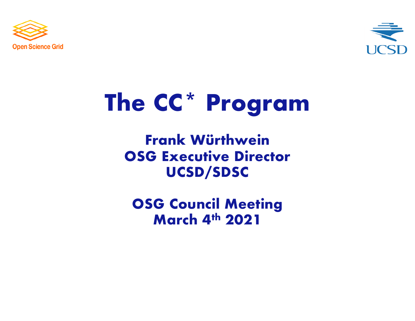



# **The CC\* Program**

### **Frank Würthwein OSG Executive Director UCSD/SDSC**

**OSG Council Meeting March 4th 2021**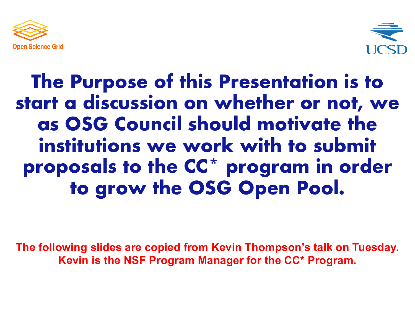



### **The Purpose of this Presentation is to start a discussion on whether or not, we as OSG Council should motivate the institutions we work with to submit proposals to the CC\* program in order to grow the OSG Open Pool.**

**The following slides are copied from Kevin Thompson's talk on Tuesday. Kevin is the NSF Program Manager for the CC\* Program.**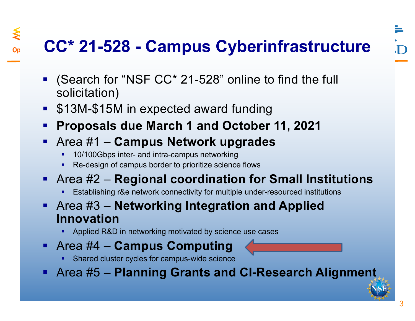### **CC\* 21-528 - Campus Cyberinfrastructure**

- (Search for "NSF CC\* 21-528" online to find the full solicitation)
- \$13M-\$15M in expected award funding

⋚

- § **Proposals due March 1 and October 11, 2021**
- § Area #1 **Campus Network upgrades**
	- **10/100Gbps inter- and intra-campus networking**
	- Re-design of campus border to prioritize science flows
- § Area #2 **Regional coordination for Small Institutions**
	- **Establishing r&e network connectivity for multiple under-resourced institutions**
- § Area #3 **Networking Integration and Applied Innovation**
	- **Applied R&D in networking motivated by science use cases**
- § Area #4 **Campus Computing**
	- Shared cluster cycles for campus-wide science
- § Area #5 **Planning Grants and CI-Research Alignment**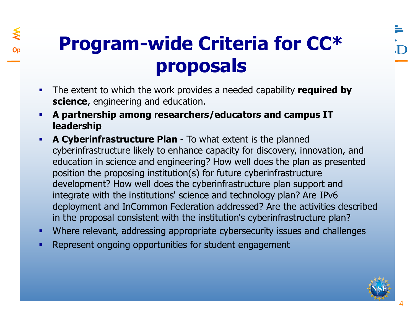## **Program-wide Criteria for CC\* proposals**

- The extent to which the work provides a needed capability **required by science**, engineering and education.
- § **A partnership among researchers/educators and campus IT leadership**
- **A Cyberinfrastructure Plan** To what extent is the planned cyberinfrastructure likely to enhance capacity for discovery, innovation, and education in science and engineering? How well does the plan as presented position the proposing institution(s) for future cyberinfrastructure development? How well does the cyberinfrastructure plan support and integrate with the institutions' science and technology plan? Are IPv6 deployment and InCommon Federation addressed? Are the activities described in the proposal consistent with the institution's cyberinfrastructure plan?
- § Where relevant, addressing appropriate cybersecurity issues and challenges
- Represent ongoing opportunities for student engagement

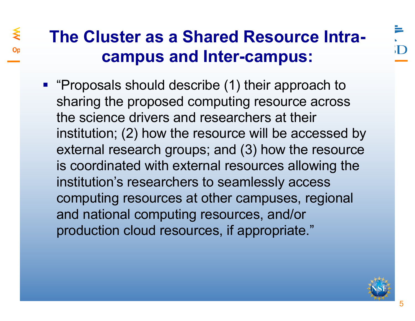### **The Cluster as a Shared Resource Intracampus and Inter-campus:**

≸

■ "Proposals should describe (1) their approach to sharing the proposed computing resource across the science drivers and researchers at their institution; (2) how the resource will be accessed by external research groups; and (3) how the resource is coordinated with external resources allowing the institution's researchers to seamlessly access computing resources at other campuses, regional and national computing resources, and/or production cloud resources, if appropriate."

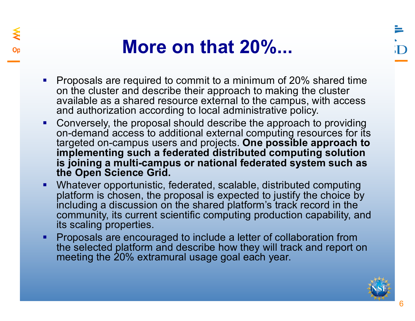### **More on that 20%...**

- Proposals are required to commit to a minimum of 20% shared time on the cluster and describe their approach to making the cluster available as a shared resource external to the campus, with access and authorization according to local administrative policy.
- Conversely, the proposal should describe the approach to providing on-demand access to additional external computing resources for its targeted on-campus users and projects. **One possible approach to implementing such a federated distributed computing solution is joining a multi-campus or national federated system such as the Open Science Grid.**
- Whatever opportunistic, federated, scalable, distributed computing platform is chosen, the proposal is expected to justify the choice by including a discussion on the shared platform's track record in the community, its current scientific computing production capability, and its scaling properties.
- **Proposals are encouraged to include a letter of collaboration from** the selected platform and describe how they will track and report on meeting the 20% extramural usage goal each year.

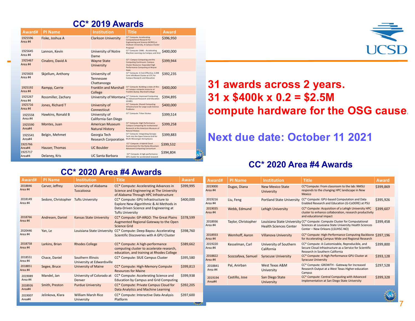#### **CC\* 2019 Awards**

| Award#             | <b>PI Name</b>      | <b>Institution</b>                               | <b>Title</b>                                                                                                                                                     | <b>Award</b> |
|--------------------|---------------------|--------------------------------------------------|------------------------------------------------------------------------------------------------------------------------------------------------------------------|--------------|
| 1925596<br>Area #4 | Fiske, Joshua A     | <b>Clarkson University</b>                       | <b>CC* Compute: Accelerating</b><br><b>Computational Research for</b><br>Engineering and Science (ACRES) at<br>Clarkson University, A Campus Cluster<br>Proposal | \$396,950    |
| 1925645<br>Area #4 | Lannon, Kevin       | University of Notre<br>Dame                      | CC* Compute: CAML - Accelerating<br>Machine Learning via Campus and Grid                                                                                         | \$400,000    |
| 1925467<br>Area #4 | Cinabro, David A    | <b>Wayne State</b><br>University                 | CC*: Campus Computing and the<br><b>Computing Continuum: Campus</b><br>Cluster Resource: Expanded High<br>Performance Computing at Wayne<br>State                | \$399,944    |
| 1925603<br>Area #4 | Skjellum, Anthony   | University of<br>Tennessee<br>Chattanooga        | CC* Compute: A Cost-Effective, 2,048<br>Core InfiniBand Cluster at UTC for<br>Campus Research and Education                                                      | \$392,235    |
| 1925192<br>Area #4 | Rampp, Carrie       | <b>Franklin and Marshall</b><br>College          | CC* Compute: Building a state-of-the-<br>art campus compute resource at<br>Franklin & Marshall College                                                           | \$400,000    |
| 1925267<br>Area #4 | Rossmiller, Zachary | University of Montana                            | CC* Compute: Improved Computing<br>for Advanced Research and Education<br>(ICARE)                                                                                | \$394,895    |
| 1925716<br>Area #4 | Jones, Richard T    | University of<br>Connecticut                     | CC* Compute: Shared Computing<br>Infrastructure for Large-scale Science<br>Problems                                                                              | \$400,000    |
| 1925558<br>Area #4 | Hawkins, Ronald B   | University of<br>California-San Diego            | CC* Compute: Triton Stratus                                                                                                                                      | \$399.514    |
| 1925590<br>Area#4  | Montes, Juan        | <b>American Museum</b><br><b>Natural History</b> | CC* Compute: High Performance<br><b>Campus Computing for Institutional</b><br>Research at the American Museum of<br>Natural History                              | \$399,258    |
| 1925541<br>Area#4  | Belgin, Mehmet      | Georgia Tech<br><b>Research Corporation</b>      | CC* Compute: Integrating Georgia<br>Tech into the Open Science Grid for<br>Multi-Messenger Astrophysics                                                          | \$399,883    |
| 1925766<br>Area#4  | Hauser, Thomas      | <b>UC Boulder</b>                                | CC* Compute: A Hybrid Cloud<br><b>Environment for the Rocky Mountain</b><br><b>Advanced Computing Consortium</b>                                                 | \$399,532    |
| 1925717<br>Area#4  | Delaney, Kris       | <b>UC Santa Barbara</b>                          | CC* Compute: A high-performance<br>GPU cluster for accelerated research                                                                                          | \$394,804    |

#### **31 awards across 2 years. 31 x \$400k x 0.2 = \$2.5M compute hardware for the OSG cause.**

#### **Next due date: October 11 2021**

#### **CC\* 2020 Area #4 Awards**

| Award#             | <b>PI Name</b>                       | <b>Institution</b>                              | <b>Title</b>                                                                                                                                       | <b>Award</b> |
|--------------------|--------------------------------------|-------------------------------------------------|----------------------------------------------------------------------------------------------------------------------------------------------------|--------------|
| 2018846<br>Area #4 | Carver, Jeffrey                      | <b>University of Alabama</b><br>Tuscaloosa      | CC* Compute: Accelerating Advances in<br>Science and Engineering at The University<br>of Alabama Through HPC Infrastructure                        | \$399,995    |
| 2018149<br>Area #4 | Sedore, Christopher Tufts University |                                                 | CC* Compute: GPU Infrastructure to<br>Explore New Algorithmic & AI Methods in<br>Data-Driven Science and Engineering at<br><b>Tufts University</b> | \$400,000    |
| 2018766<br>Area #4 | Andresen, Daniel                     | <b>Kansas State University</b>                  | CC* Compute: GP-ARGO: The Great Plains<br>Augmented Regional Gateway to the Open<br><b>Science Grid</b>                                            | \$378.599    |
| 2020446<br>Area #4 | Yan, Le                              | Louisiana State University                      | CC* Compute: Deep Bayou: Accelerating<br>Scientific Discoveries with A GPU Cluster                                                                 | \$398,760    |
| 2018758<br>Area #4 | Larkins, Brian                       | <b>Rhodes College</b>                           | CC* Compute: A high-performance<br>computing cluster to accelerate research,<br>education, and training at Rhodes College                          | \$389,662    |
| 2018551<br>Area #4 | Chace, Daniel                        | Southern Illinois<br>University at Edwardsville | CC* Compute: SIUE Campus Cluster                                                                                                                   | \$395,580    |
| 2018851<br>Area #4 | Segee, Bruce                         | <b>University of Maine</b>                      | CC* Compute: High-Memory Compute<br><b>Resources for Maine</b>                                                                                     | \$399,813    |
| 2019089<br>Area #4 | Mandel, Jan                          | University of Colorado at<br>Denver             | CC* Compute: Accelerating Science and<br><b>Education by Campus and Grid Computing</b>                                                             | \$399,938    |
| 2018926<br>Area#4  | Smith, Preston                       | <b>Purdue University</b>                        | CC* Compute: Private Campus Cloud for<br>Data Analytics and Machine Learning                                                                       | \$392,205    |
| 2019007<br>Area#4  | Jelinkova, Klara                     | <b>William Marsh Rice</b><br><b>University</b>  | CC* Compute: Interactive Data Analysis<br>Platform                                                                                                 | \$397,600    |

**CC\* 2020 Area #4 Awards**

|  | Award#             | <b>PI Name</b>      | <b>Institution</b>                    | <b>Title</b>                                                                                                                                                            | <b>Award</b> |
|--|--------------------|---------------------|---------------------------------------|-------------------------------------------------------------------------------------------------------------------------------------------------------------------------|--------------|
|  | 2019000<br>Area #4 | Dugas, Diana        | <b>New Mexico State</b><br>University | CC*Compute: From classroom to the lab: NMSU<br>responds to the changing HPC landscape in New<br>Mexico                                                                  | \$399,869    |
|  | 2019216<br>Area #4 | Liu, Feng           | <b>Portland State University</b>      | CC* Compute: GPU-based Computation and Data<br>Enabled Research and Education (G-CoDERE) at PSU                                                                         | \$395,926    |
|  | 2019035<br>Area #4 | Webb, Edmund        | Lehigh University                     | CC* Compute: Acquisition of a Lehigh University HPC<br>cluster to enhance collaboration, research productivity<br>and educational impact                                | \$399,607    |
|  | 2018936<br>Area #4 | Taylor, Christopher | <b>Health Sciences Center</b>         | Louisiana State University CC* Compute: Compute Cluster for Computational<br>Sciences at Louisiana State University Health Sciences<br>Center - New Orleans (LSUHSC-NO) | \$399,458    |
|  | 2018933<br>Area #4 | Wemhoff, Aaron      | <b>Villanova University</b>           | CC* Compute: High-Performance Computing Backbone \$397,196<br>for Accelerating Campus-Wide and Regional Research                                                        |              |
|  | 2019220<br>Area #4 | Kesselman, Carl     | University of Southern<br>California  | CC* Compute: A Customizable, Reproducible, and<br>Secure Cloud Infrastructure as a Service for Scientific<br>Research in Southern California                            | \$399,800    |
|  | 2018822<br>Area #4 | Scozzafava, Samuel  | <b>Syracuse University</b>            | CC* Compute: A High Performance GPU Cluster at<br><b>Syracuse University</b>                                                                                            | \$393,128    |
|  | 2018841<br>Area #4 | Pal, Anirban        | West Texas A&M<br>University          | CC* Compute: GROWTH - Gateway for Increased<br>Research Output at a West Texas Higher-education<br>Campus                                                               | \$297,528    |
|  | 2019194<br>Area#4  | Castillo, Jose      | San Diego State<br>University         | CC* Compute: Central Computing with Advanced<br><b>Implementation at San Diego State University</b>                                                                     | \$399,328    |



7